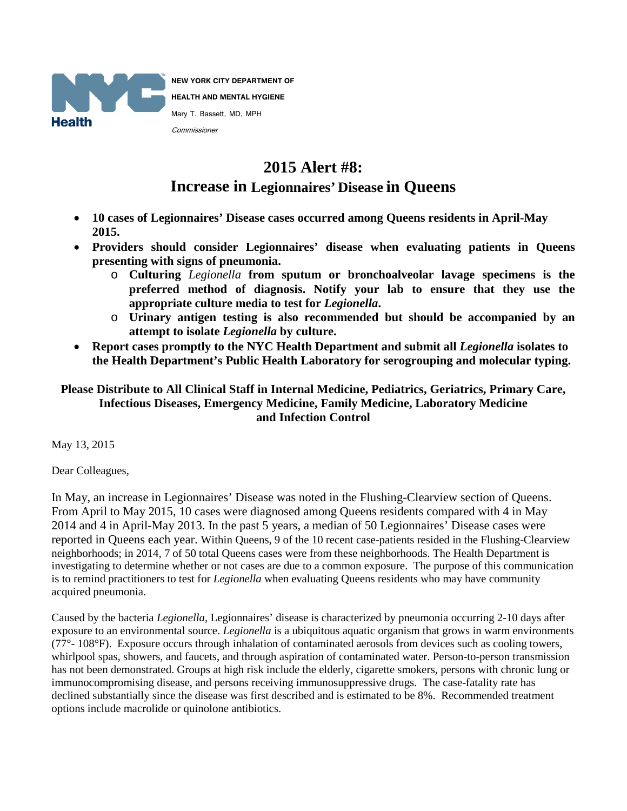

**NEW YORK CITY DEPARTMENT OF HEALTH AND MENTAL HYGIENE** Mary T. Bassett, MD, MPH Commissioner

## **2015 Alert #8: Increase in Legionnaires' Disease in Queens**

- **10 cases of Legionnaires' Disease cases occurred among Queens residents in April-May 2015.**
- **Providers should consider Legionnaires' disease when evaluating patients in Queens presenting with signs of pneumonia.** 
	- o **Culturing** *Legionella* **from sputum or bronchoalveolar lavage specimens is the preferred method of diagnosis. Notify your lab to ensure that they use the appropriate culture media to test for** *Legionella***.**
	- o **Urinary antigen testing is also recommended but should be accompanied by an attempt to isolate** *Legionella* **by culture.**
- **Report cases promptly to the NYC Health Department and submit all** *Legionella* **isolates to the Health Department's Public Health Laboratory for serogrouping and molecular typing.**

**Please Distribute to All Clinical Staff in Internal Medicine, Pediatrics, Geriatrics, Primary Care, Infectious Diseases, Emergency Medicine, Family Medicine, Laboratory Medicine and Infection Control** 

May 13, 2015

Dear Colleagues,

In May, an increase in Legionnaires' Disease was noted in the Flushing-Clearview section of Queens. From April to May 2015, 10 cases were diagnosed among Queens residents compared with 4 in May 2014 and 4 in April-May 2013. In the past 5 years, a median of 50 Legionnaires' Disease cases were reported in Queens each year. Within Queens, 9 of the 10 recent case-patients resided in the Flushing-Clearview neighborhoods; in 2014, 7 of 50 total Queens cases were from these neighborhoods. The Health Department is investigating to determine whether or not cases are due to a common exposure. The purpose of this communication is to remind practitioners to test for *Legionella* when evaluating Queens residents who may have community acquired pneumonia.

Caused by the bacteria *Legionella,* Legionnaires' disease is characterized by pneumonia occurring 2-10 days after exposure to an environmental source. *Legionella* is a ubiquitous aquatic organism that grows in warm environments (77°- 108°F). Exposure occurs through inhalation of contaminated aerosols from devices such as cooling towers, whirlpool spas, showers, and faucets, and through aspiration of contaminated water. Person-to-person transmission has not been demonstrated. Groups at high risk include the elderly, cigarette smokers, persons with chronic lung or immunocompromising disease, and persons receiving immunosuppressive drugs. The case-fatality rate has declined substantially since the disease was first described and is estimated to be 8%. Recommended treatment options include macrolide or quinolone antibiotics.